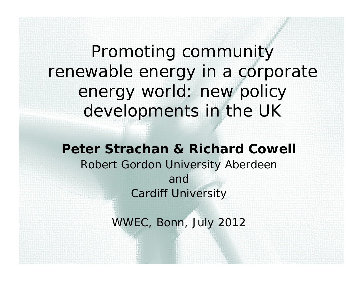Promoting community renewable energy in a corporate energy world: new policy developments in the UK

*Peter Strachan & Richard CowellRobert Gordon University Aberdeen andCardiff University*

*WWEC, Bonn, July 2012*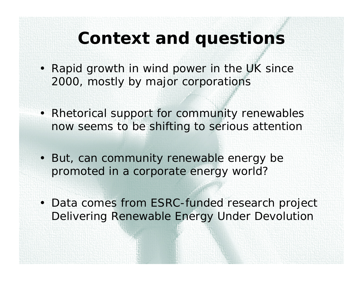### **Context and questions**

- Rapid growth in wind power in the UK since 2000, mostly by major corporations
- Rhetorical support for community renewables now seems to be shifting to serious attention
- But, can community renewable energy be promoted in a corporate energy world?
- Data comes from ESRC-funded research project Delivering Renewable Energy Under Devolution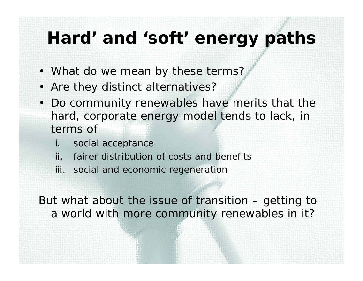#### **Hard' and 'soft' energy paths**

- What do we mean by these terms?
- Are they distinct alternatives?
- Do community renewables have merits that the hard, corporate energy model tends to lack, in terms of
	- i. social acceptance
	- ii. fairer distribution of costs and benefits
	- iii. social and economic regeneration

But what about the issue of transition – *getting to* a world with more community renewables in it?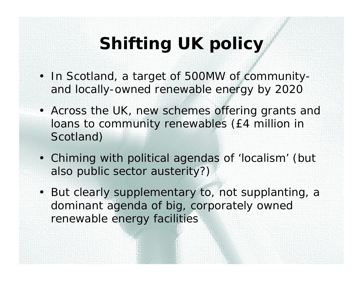# **Shifting UK policy**

- In Scotland, a target of 500MW of communityand locally-owned renewable energy by 2020
- Across the UK, new schemes offering grants and loans to community renewables (£4 million in Scotland)
- Chiming with political agendas of 'localism' (but also public sector austerity?)
- But clearly supplementary to, not supplanting, a dominant agenda of big, corporately owned renewable energy facilities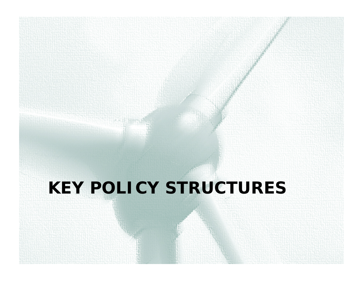# **KEY POLICY STRUCTURES**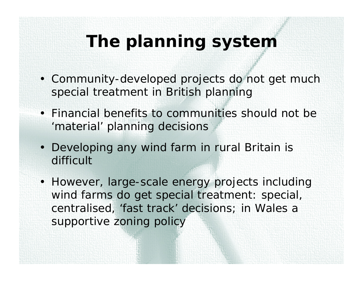## **The planning system**

- Community-developed projects do not get much special treatment in British planning
- Financial benefits to communities should not be 'material' planning decisions
- Developing any wind farm in rural Britain is difficult
- However, large-scale energy projects including wind farms *do* get special treatment: special, centralised, 'fast track' decisions; in Wales a supportive zoning policy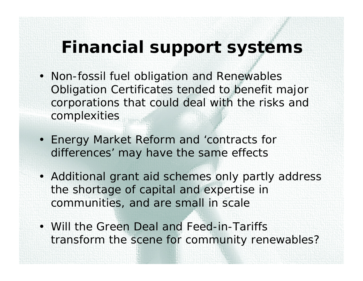#### **Financial support systems**

- Non-fossil fuel obligation and Renewables Obligation Certificates tended to benefit major corporations that could deal with the risks and complexities
- Energy Market Reform and 'contracts for differences' may have the same effects
- Additional grant aid schemes only partly address the shortage of capital and expertise in communities, and are small in scale
- Will the Green Deal and Feed-in-Tariffs transform the scene for community renewables?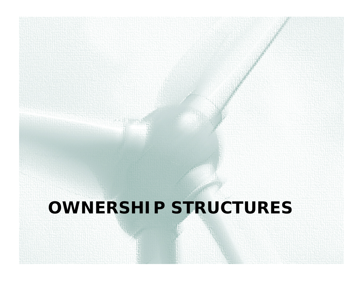### **OWNERSHIP STRUCTURES**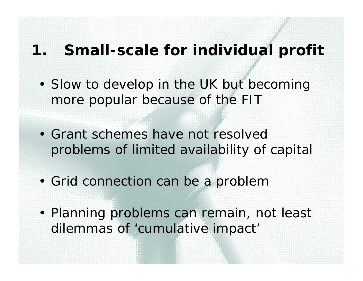#### **1. Small-scale for individual profit**

- Slow to develop in the UK but becoming more popular because of the FIT
- Grant schemes have not resolved problems of limited availability of capital
- Grid connection can be a problem
- Planning problems can remain, not least dilemmas of 'cumulative impact'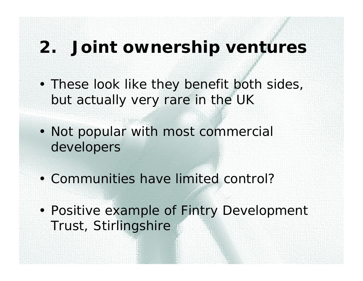#### **2. Joint ownership ventures**

- These look like they benefit both sides, but actually very rare in the UK
- Not popular with most commercial developers
- Communities have limited control?
- Positive example of Fintry Development Trust, Stirlingshire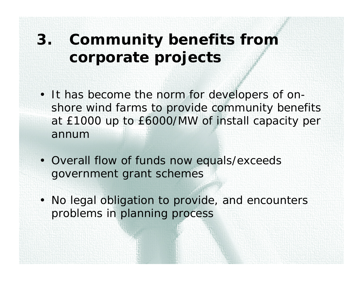#### **3. Community benefits from corporate projects**

- It has become the norm for developers of onshore wind farms to provide community benefits at £1000 up to £6000/MW of install capacity per annum
- Overall flow of funds now equals/exceeds government grant schemes
- No legal obligation to provide, and encounters problems in planning process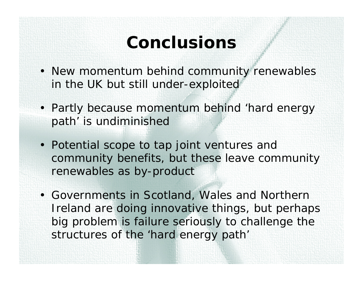### **Conclusions**

- New momentum behind community renewables in the UK but still under-exploited
- Partly because momentum behind 'hard energy path' is undiminished
- Potential scope to tap joint ventures and community benefits, but these leave community renewables as by-product
- Governments in Scotland, Wales and Northern Ireland are doing innovative things, but perhaps big problem is failure seriously to challenge the structures of the 'hard energy path'